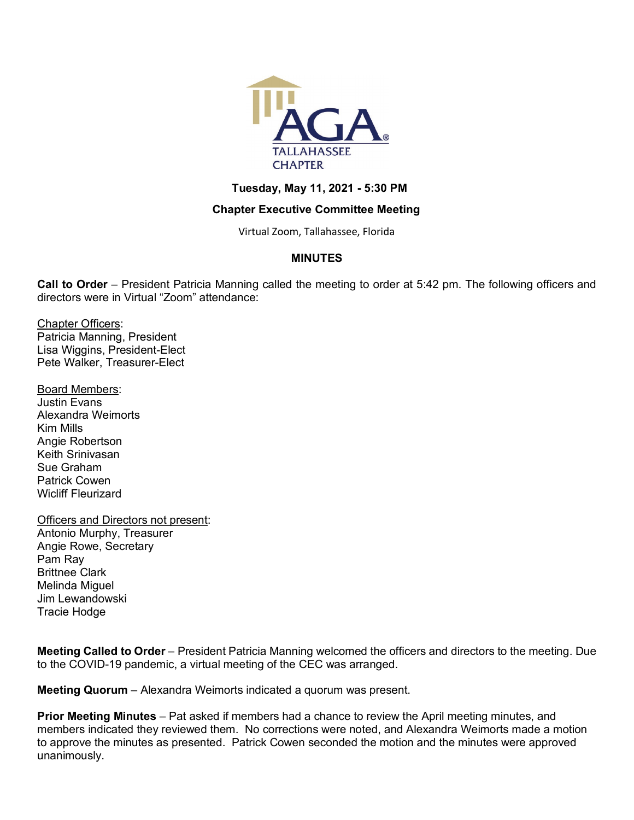

## **Tuesday, May 11, 2021 - 5:30 PM**

## **Chapter Executive Committee Meeting**

Virtual Zoom, Tallahassee, Florida

## **MINUTES**

**Call to Order** – President Patricia Manning called the meeting to order at 5:42 pm. The following officers and directors were in Virtual "Zoom" attendance:

Chapter Officers: Patricia Manning, President Lisa Wiggins, President-Elect Pete Walker, Treasurer-Elect

Board Members: Justin Evans Alexandra Weimorts Kim Mills Angie Robertson Keith Srinivasan Sue Graham Patrick Cowen Wicliff Fleurizard

Officers and Directors not present: Antonio Murphy, Treasurer Angie Rowe, Secretary Pam Ray Brittnee Clark Melinda Miguel Jim Lewandowski Tracie Hodge

**Meeting Called to Order** – President Patricia Manning welcomed the officers and directors to the meeting. Due to the COVID-19 pandemic, a virtual meeting of the CEC was arranged.

**Meeting Quorum** – Alexandra Weimorts indicated a quorum was present.

**Prior Meeting Minutes** – Pat asked if members had a chance to review the April meeting minutes, and members indicated they reviewed them. No corrections were noted, and Alexandra Weimorts made a motion to approve the minutes as presented. Patrick Cowen seconded the motion and the minutes were approved unanimously.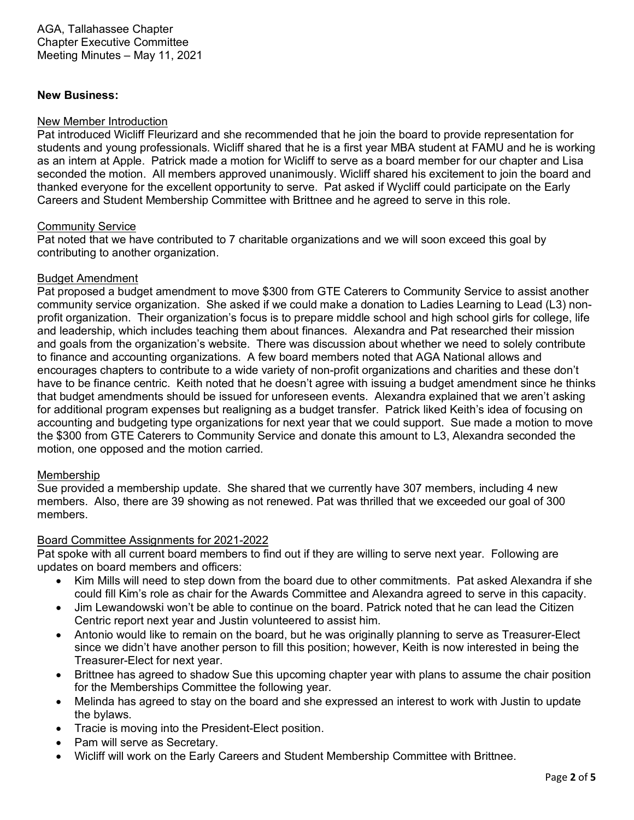#### **New Business:**

#### New Member Introduction

Pat introduced Wicliff Fleurizard and she recommended that he join the board to provide representation for students and young professionals. Wicliff shared that he is a first year MBA student at FAMU and he is working as an intern at Apple. Patrick made a motion for Wicliff to serve as a board member for our chapter and Lisa seconded the motion. All members approved unanimously. Wicliff shared his excitement to join the board and thanked everyone for the excellent opportunity to serve. Pat asked if Wycliff could participate on the Early Careers and Student Membership Committee with Brittnee and he agreed to serve in this role.

#### Community Service

Pat noted that we have contributed to 7 charitable organizations and we will soon exceed this goal by contributing to another organization.

## Budget Amendment

Pat proposed a budget amendment to move \$300 from GTE Caterers to Community Service to assist another community service organization. She asked if we could make a donation to Ladies Learning to Lead (L3) nonprofit organization. Their organization's focus is to prepare middle school and high school girls for college, life and leadership, which includes teaching them about finances. Alexandra and Pat researched their mission and goals from the organization's website. There was discussion about whether we need to solely contribute to finance and accounting organizations. A few board members noted that AGA National allows and encourages chapters to contribute to a wide variety of non-profit organizations and charities and these don't have to be finance centric. Keith noted that he doesn't agree with issuing a budget amendment since he thinks that budget amendments should be issued for unforeseen events. Alexandra explained that we aren't asking for additional program expenses but realigning as a budget transfer. Patrick liked Keith's idea of focusing on accounting and budgeting type organizations for next year that we could support. Sue made a motion to move the \$300 from GTE Caterers to Community Service and donate this amount to L3, Alexandra seconded the motion, one opposed and the motion carried.

#### Membership

Sue provided a membership update. She shared that we currently have 307 members, including 4 new members. Also, there are 39 showing as not renewed. Pat was thrilled that we exceeded our goal of 300 members.

#### Board Committee Assignments for 2021-2022

Pat spoke with all current board members to find out if they are willing to serve next year. Following are updates on board members and officers:

- Kim Mills will need to step down from the board due to other commitments. Pat asked Alexandra if she could fill Kim's role as chair for the Awards Committee and Alexandra agreed to serve in this capacity.
- Jim Lewandowski won't be able to continue on the board. Patrick noted that he can lead the Citizen Centric report next year and Justin volunteered to assist him.
- Antonio would like to remain on the board, but he was originally planning to serve as Treasurer-Elect since we didn't have another person to fill this position; however, Keith is now interested in being the Treasurer-Elect for next year.
- Brittnee has agreed to shadow Sue this upcoming chapter year with plans to assume the chair position for the Memberships Committee the following year.
- Melinda has agreed to stay on the board and she expressed an interest to work with Justin to update the bylaws.
- Tracie is moving into the President-Elect position.
- Pam will serve as Secretary.
- Wicliff will work on the Early Careers and Student Membership Committee with Brittnee.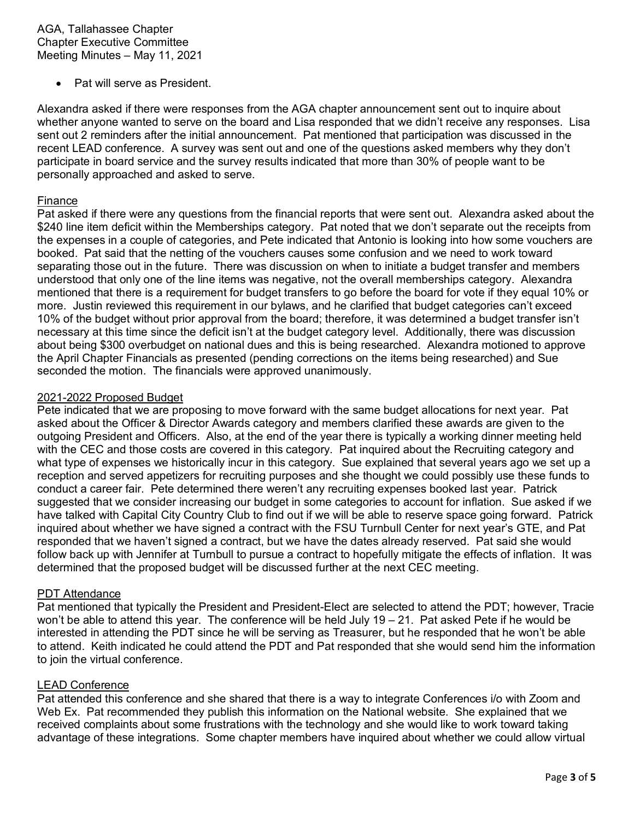Pat will serve as President.

Alexandra asked if there were responses from the AGA chapter announcement sent out to inquire about whether anyone wanted to serve on the board and Lisa responded that we didn't receive any responses. Lisa sent out 2 reminders after the initial announcement. Pat mentioned that participation was discussed in the recent LEAD conference. A survey was sent out and one of the questions asked members why they don't participate in board service and the survey results indicated that more than 30% of people want to be personally approached and asked to serve.

#### Finance

Pat asked if there were any questions from the financial reports that were sent out. Alexandra asked about the \$240 line item deficit within the Memberships category. Pat noted that we don't separate out the receipts from the expenses in a couple of categories, and Pete indicated that Antonio is looking into how some vouchers are booked. Pat said that the netting of the vouchers causes some confusion and we need to work toward separating those out in the future. There was discussion on when to initiate a budget transfer and members understood that only one of the line items was negative, not the overall memberships category. Alexandra mentioned that there is a requirement for budget transfers to go before the board for vote if they equal 10% or more. Justin reviewed this requirement in our bylaws, and he clarified that budget categories can't exceed 10% of the budget without prior approval from the board; therefore, it was determined a budget transfer isn't necessary at this time since the deficit isn't at the budget category level. Additionally, there was discussion about being \$300 overbudget on national dues and this is being researched. Alexandra motioned to approve the April Chapter Financials as presented (pending corrections on the items being researched) and Sue seconded the motion. The financials were approved unanimously.

#### 2021-2022 Proposed Budget

Pete indicated that we are proposing to move forward with the same budget allocations for next year. Pat asked about the Officer & Director Awards category and members clarified these awards are given to the outgoing President and Officers. Also, at the end of the year there is typically a working dinner meeting held with the CEC and those costs are covered in this category. Pat inquired about the Recruiting category and what type of expenses we historically incur in this category. Sue explained that several years ago we set up a reception and served appetizers for recruiting purposes and she thought we could possibly use these funds to conduct a career fair. Pete determined there weren't any recruiting expenses booked last year. Patrick suggested that we consider increasing our budget in some categories to account for inflation. Sue asked if we have talked with Capital City Country Club to find out if we will be able to reserve space going forward. Patrick inquired about whether we have signed a contract with the FSU Turnbull Center for next year's GTE, and Pat responded that we haven't signed a contract, but we have the dates already reserved. Pat said she would follow back up with Jennifer at Turnbull to pursue a contract to hopefully mitigate the effects of inflation. It was determined that the proposed budget will be discussed further at the next CEC meeting.

#### PDT Attendance

Pat mentioned that typically the President and President-Elect are selected to attend the PDT; however, Tracie won't be able to attend this year. The conference will be held July 19 – 21. Pat asked Pete if he would be interested in attending the PDT since he will be serving as Treasurer, but he responded that he won't be able to attend. Keith indicated he could attend the PDT and Pat responded that she would send him the information to join the virtual conference.

#### LEAD Conference

Pat attended this conference and she shared that there is a way to integrate Conferences i/o with Zoom and Web Ex. Pat recommended they publish this information on the National website. She explained that we received complaints about some frustrations with the technology and she would like to work toward taking advantage of these integrations. Some chapter members have inquired about whether we could allow virtual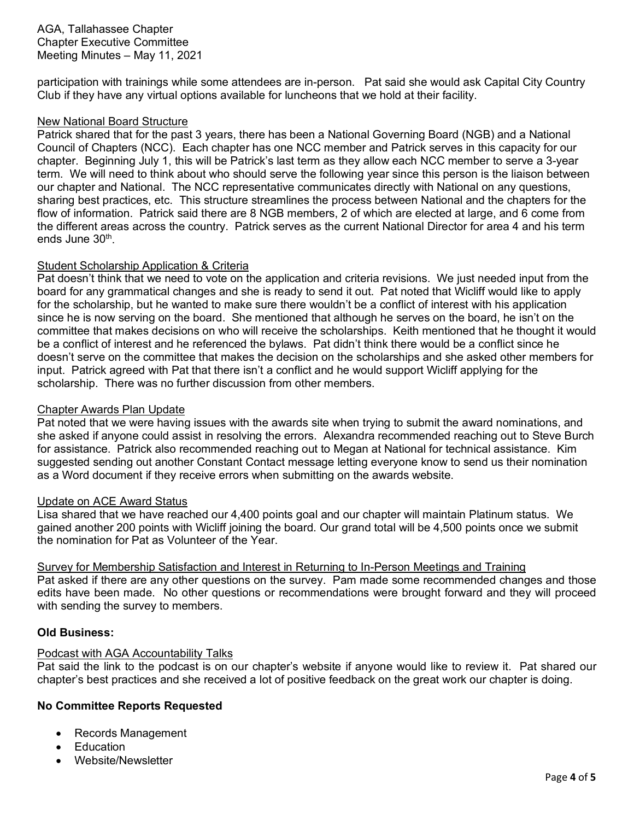AGA, Tallahassee Chapter Chapter Executive Committee Meeting Minutes – May 11, 2021

participation with trainings while some attendees are in-person. Pat said she would ask Capital City Country Club if they have any virtual options available for luncheons that we hold at their facility.

#### New National Board Structure

Patrick shared that for the past 3 years, there has been a National Governing Board (NGB) and a National Council of Chapters (NCC). Each chapter has one NCC member and Patrick serves in this capacity for our chapter. Beginning July 1, this will be Patrick's last term as they allow each NCC member to serve a 3-year term. We will need to think about who should serve the following year since this person is the liaison between our chapter and National. The NCC representative communicates directly with National on any questions, sharing best practices, etc. This structure streamlines the process between National and the chapters for the flow of information. Patrick said there are 8 NGB members, 2 of which are elected at large, and 6 come from the different areas across the country. Patrick serves as the current National Director for area 4 and his term ends June 30<sup>th</sup>.

## Student Scholarship Application & Criteria

Pat doesn't think that we need to vote on the application and criteria revisions. We just needed input from the board for any grammatical changes and she is ready to send it out. Pat noted that Wicliff would like to apply for the scholarship, but he wanted to make sure there wouldn't be a conflict of interest with his application since he is now serving on the board. She mentioned that although he serves on the board, he isn't on the committee that makes decisions on who will receive the scholarships. Keith mentioned that he thought it would be a conflict of interest and he referenced the bylaws. Pat didn't think there would be a conflict since he doesn't serve on the committee that makes the decision on the scholarships and she asked other members for input. Patrick agreed with Pat that there isn't a conflict and he would support Wicliff applying for the scholarship. There was no further discussion from other members.

## Chapter Awards Plan Update

Pat noted that we were having issues with the awards site when trying to submit the award nominations, and she asked if anyone could assist in resolving the errors. Alexandra recommended reaching out to Steve Burch for assistance. Patrick also recommended reaching out to Megan at National for technical assistance. Kim suggested sending out another Constant Contact message letting everyone know to send us their nomination as a Word document if they receive errors when submitting on the awards website.

#### Update on ACE Award Status

Lisa shared that we have reached our 4,400 points goal and our chapter will maintain Platinum status. We gained another 200 points with Wicliff joining the board. Our grand total will be 4,500 points once we submit the nomination for Pat as Volunteer of the Year.

#### Survey for Membership Satisfaction and Interest in Returning to In-Person Meetings and Training Pat asked if there are any other questions on the survey. Pam made some recommended changes and those edits have been made. No other questions or recommendations were brought forward and they will proceed with sending the survey to members.

#### **Old Business:**

#### Podcast with AGA Accountability Talks

Pat said the link to the podcast is on our chapter's website if anyone would like to review it. Pat shared our chapter's best practices and she received a lot of positive feedback on the great work our chapter is doing.

## **No Committee Reports Requested**

- Records Management
- **Education**
- Website/Newsletter